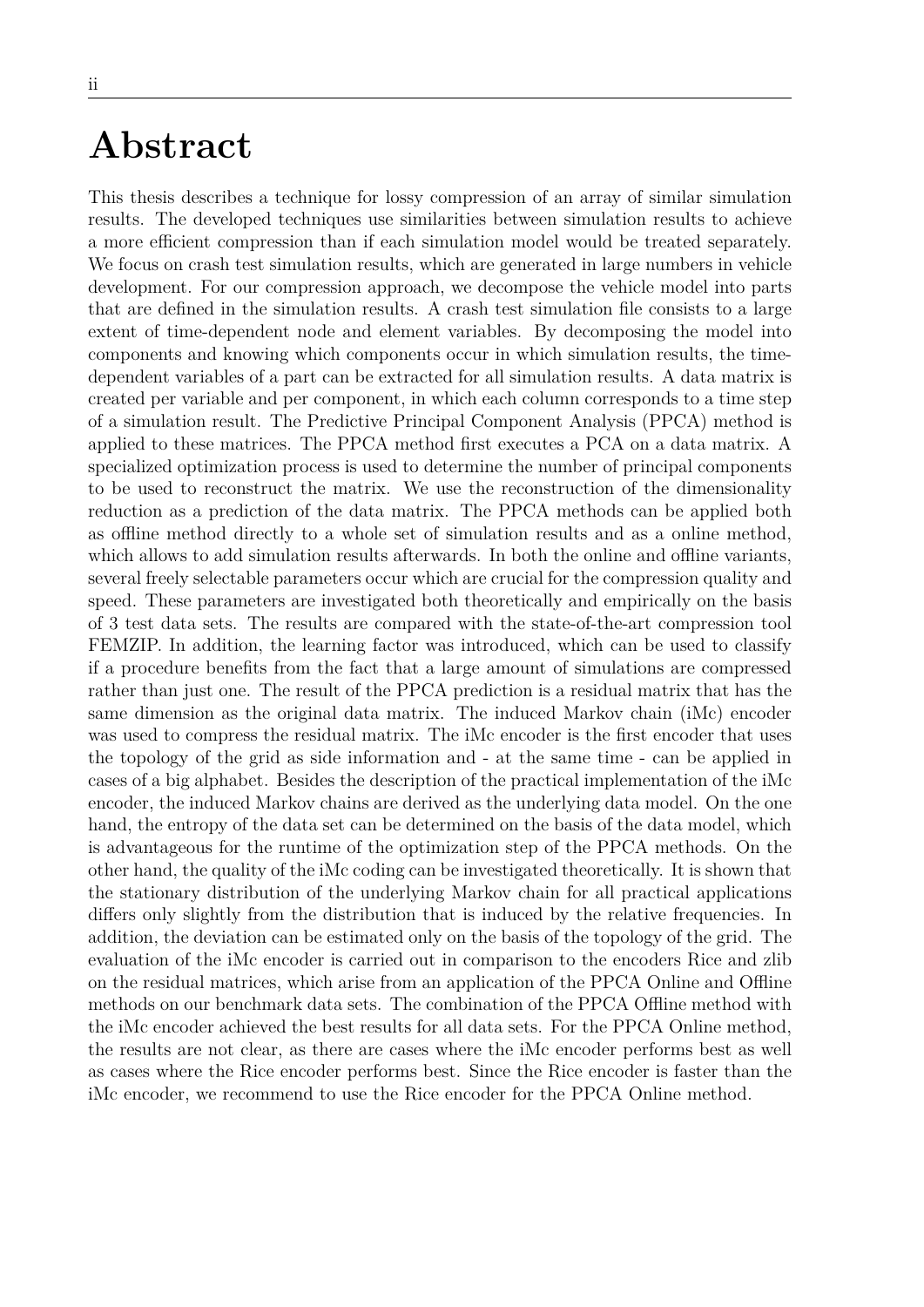## **Abstract**

This thesis describes a technique for lossy compression of an array of similar simulation results. The developed techniques use similarities between simulation results to achieve a more efficient compression than if each simulation model would be treated separately. We focus on crash test simulation results, which are generated in large numbers in vehicle development. For our compression approach, we decompose the vehicle model into parts that are defined in the simulation results. A crash test simulation file consists to a large extent of time-dependent node and element variables. By decomposing the model into components and knowing which components occur in which simulation results, the timedependent variables of a part can be extracted for all simulation results. A data matrix is created per variable and per component, in which each column corresponds to a time step of a simulation result. The Predictive Principal Component Analysis (PPCA) method is applied to these matrices. The PPCA method first executes a PCA on a data matrix. A specialized optimization process is used to determine the number of principal components to be used to reconstruct the matrix. We use the reconstruction of the dimensionality reduction as a prediction of the data matrix. The PPCA methods can be applied both as offline method directly to a whole set of simulation results and as a online method, which allows to add simulation results afterwards. In both the online and offline variants, several freely selectable parameters occur which are crucial for the compression quality and speed. These parameters are investigated both theoretically and empirically on the basis of 3 test data sets. The results are compared with the state-of-the-art compression tool FEMZIP. In addition, the learning factor was introduced, which can be used to classify if a procedure benefits from the fact that a large amount of simulations are compressed rather than just one. The result of the PPCA prediction is a residual matrix that has the same dimension as the original data matrix. The induced Markov chain (iMc) encoder was used to compress the residual matrix. The iMc encoder is the first encoder that uses the topology of the grid as side information and - at the same time - can be applied in cases of a big alphabet. Besides the description of the practical implementation of the iMc encoder, the induced Markov chains are derived as the underlying data model. On the one hand, the entropy of the data set can be determined on the basis of the data model, which is advantageous for the runtime of the optimization step of the PPCA methods. On the other hand, the quality of the iMc coding can be investigated theoretically. It is shown that the stationary distribution of the underlying Markov chain for all practical applications differs only slightly from the distribution that is induced by the relative frequencies. In addition, the deviation can be estimated only on the basis of the topology of the grid. The evaluation of the iMc encoder is carried out in comparison to the encoders Rice and zlib on the residual matrices, which arise from an application of the PPCA Online and Offline methods on our benchmark data sets. The combination of the PPCA Offline method with the iMc encoder achieved the best results for all data sets. For the PPCA Online method, the results are not clear, as there are cases where the iMc encoder performs best as well as cases where the Rice encoder performs best. Since the Rice encoder is faster than the iMc encoder, we recommend to use the Rice encoder for the PPCA Online method.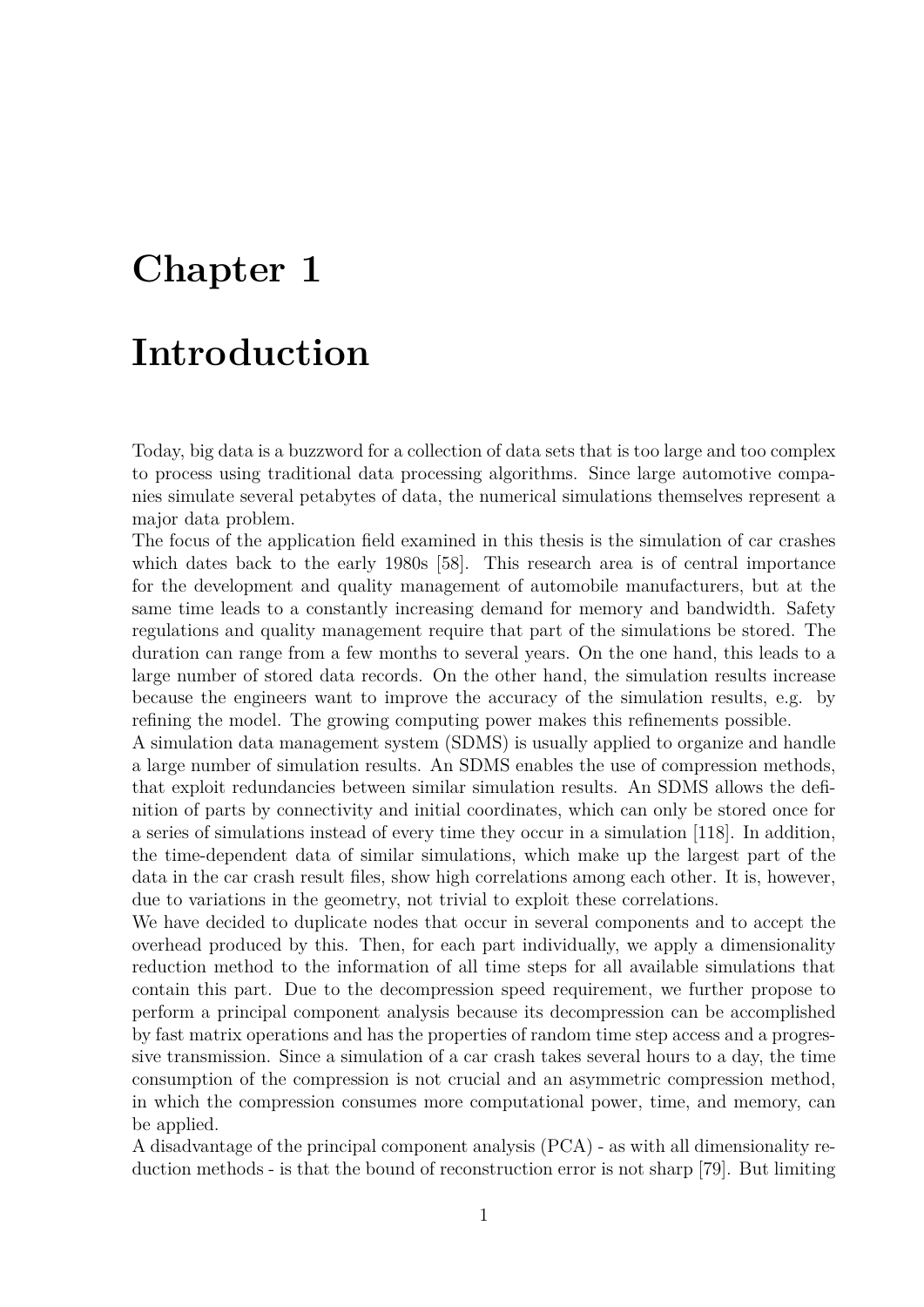# **Chapter 1 Introduction**

Today, big data is a buzzword for a collection of data sets that is too large and too complex to process using traditional data processing algorithms. Since large automotive companies simulate several petabytes of data, the numerical simulations themselves represent a major data problem.

The focus of the application field examined in this thesis is the simulation of car crashes which dates back to the early 1980s [\[58\]](#page--1-0). This research area is of central importance for the development and quality management of automobile manufacturers, but at the same time leads to a constantly increasing demand for memory and bandwidth. Safety regulations and quality management require that part of the simulations be stored. The duration can range from a few months to several years. On the one hand, this leads to a large number of stored data records. On the other hand, the simulation results increase because the engineers want to improve the accuracy of the simulation results, e.g. by refining the model. The growing computing power makes this refinements possible.

A simulation data management system (SDMS) is usually applied to organize and handle a large number of simulation results. An SDMS enables the use of compression methods, that exploit redundancies between similar simulation results. An SDMS allows the definition of parts by connectivity and initial coordinates, which can only be stored once for a series of simulations instead of every time they occur in a simulation [\[118\]](#page--1-1). In addition, the time-dependent data of similar simulations, which make up the largest part of the data in the car crash result files, show high correlations among each other. It is, however, due to variations in the geometry, not trivial to exploit these correlations.

We have decided to duplicate nodes that occur in several components and to accept the overhead produced by this. Then, for each part individually, we apply a dimensionality reduction method to the information of all time steps for all available simulations that contain this part. Due to the decompression speed requirement, we further propose to perform a principal component analysis because its decompression can be accomplished by fast matrix operations and has the properties of random time step access and a progressive transmission. Since a simulation of a car crash takes several hours to a day, the time consumption of the compression is not crucial and an asymmetric compression method, in which the compression consumes more computational power, time, and memory, can be applied.

A disadvantage of the principal component analysis (PCA) - as with all dimensionality reduction methods - is that the bound of reconstruction error is not sharp [\[79\]](#page--1-2). But limiting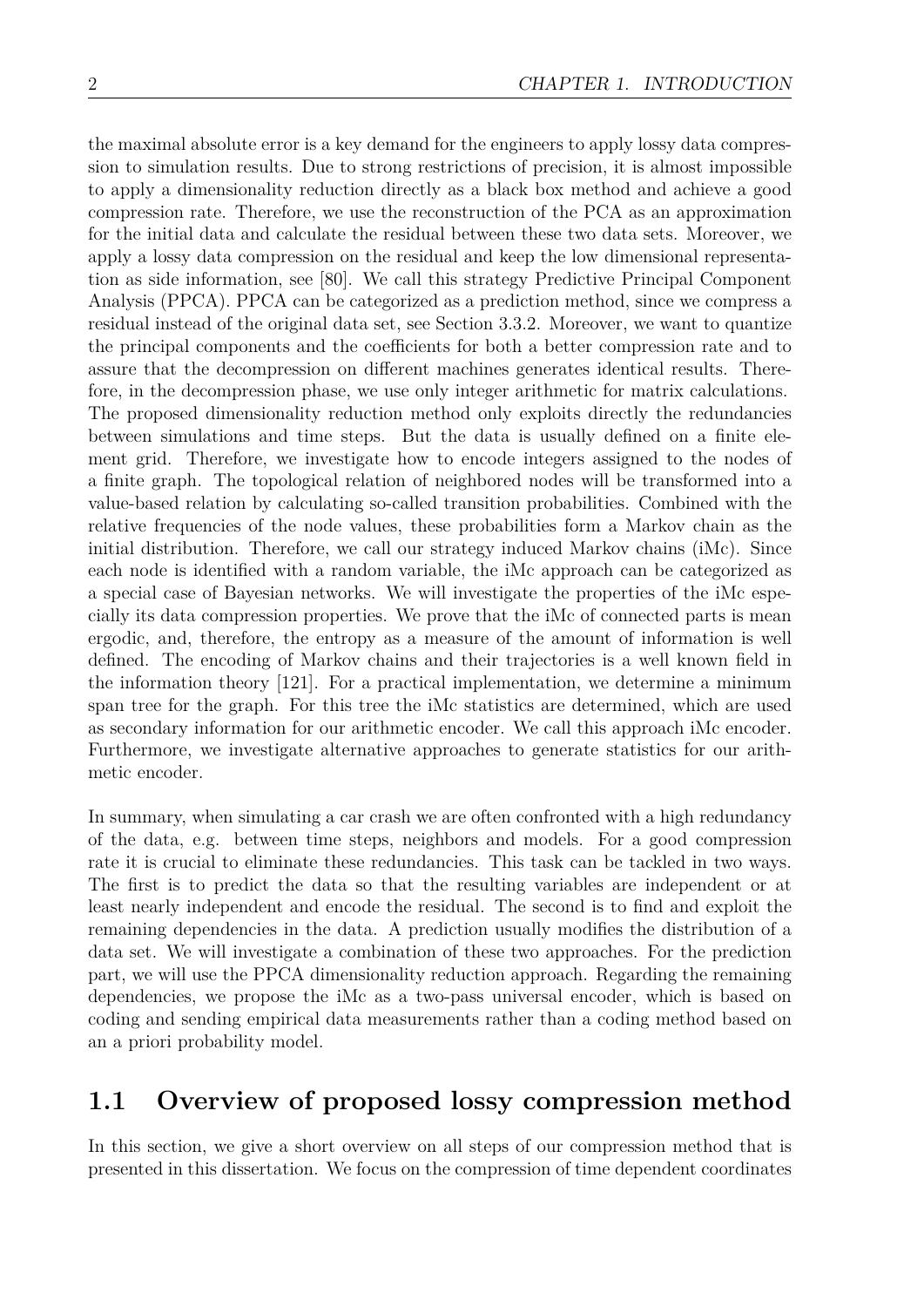the maximal absolute error is a key demand for the engineers to apply lossy data compression to simulation results. Due to strong restrictions of precision, it is almost impossible to apply a dimensionality reduction directly as a black box method and achieve a good compression rate. Therefore, we use the reconstruction of the PCA as an approximation for the initial data and calculate the residual between these two data sets. Moreover, we apply a lossy data compression on the residual and keep the low dimensional representation as side information, see [\[80\]](#page--1-3). We call this strategy Predictive Principal Component Analysis (PPCA). PPCA can be categorized as a prediction method, since we compress a residual instead of the original data set, see Section [3.3.2.](#page--1-4) Moreover, we want to quantize the principal components and the coefficients for both a better compression rate and to assure that the decompression on different machines generates identical results. Therefore, in the decompression phase, we use only integer arithmetic for matrix calculations. The proposed dimensionality reduction method only exploits directly the redundancies between simulations and time steps. But the data is usually defined on a finite element grid. Therefore, we investigate how to encode integers assigned to the nodes of a finite graph. The topological relation of neighbored nodes will be transformed into a value-based relation by calculating so-called transition probabilities. Combined with the relative frequencies of the node values, these probabilities form a Markov chain as the initial distribution. Therefore, we call our strategy induced Markov chains (iMc). Since each node is identified with a random variable, the iMc approach can be categorized as a special case of Bayesian networks. We will investigate the properties of the iMc especially its data compression properties. We prove that the iMc of connected parts is mean ergodic, and, therefore, the entropy as a measure of the amount of information is well defined. The encoding of Markov chains and their trajectories is a well known field in the information theory [\[121\]](#page--1-5). For a practical implementation, we determine a minimum span tree for the graph. For this tree the iMc statistics are determined, which are used as secondary information for our arithmetic encoder. We call this approach iMc encoder. Furthermore, we investigate alternative approaches to generate statistics for our arithmetic encoder.

In summary, when simulating a car crash we are often confronted with a high redundancy of the data, e.g. between time steps, neighbors and models. For a good compression rate it is crucial to eliminate these redundancies. This task can be tackled in two ways. The first is to predict the data so that the resulting variables are independent or at least nearly independent and encode the residual. The second is to find and exploit the remaining dependencies in the data. A prediction usually modifies the distribution of a data set. We will investigate a combination of these two approaches. For the prediction part, we will use the PPCA dimensionality reduction approach. Regarding the remaining dependencies, we propose the iMc as a two-pass universal encoder, which is based on coding and sending empirical data measurements rather than a coding method based on an a priori probability model.

#### **1.1 Overview of proposed lossy compression method**

In this section, we give a short overview on all steps of our compression method that is presented in this dissertation. We focus on the compression of time dependent coordinates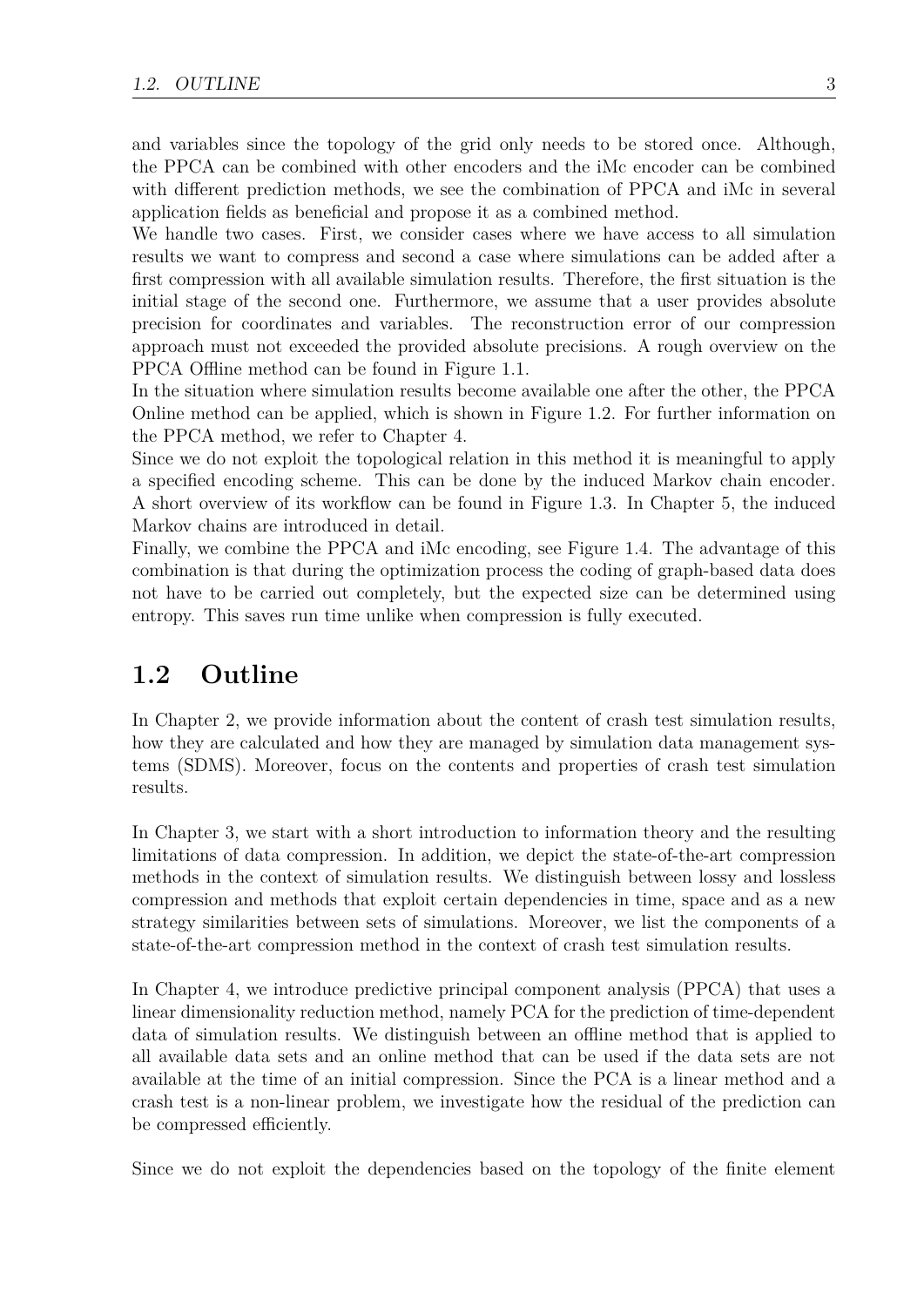and variables since the topology of the grid only needs to be stored once. Although, the PPCA can be combined with other encoders and the iMc encoder can be combined with different prediction methods, we see the combination of PPCA and iMc in several application fields as beneficial and propose it as a combined method.

We handle two cases. First, we consider cases where we have access to all simulation results we want to compress and second a case where simulations can be added after a first compression with all available simulation results. Therefore, the first situation is the initial stage of the second one. Furthermore, we assume that a user provides absolute precision for coordinates and variables. The reconstruction error of our compression approach must not exceeded the provided absolute precisions. A rough overview on the PPCA Offline method can be found in Figure [1.1.](#page-4-0)

In the situation where simulation results become available one after the other, the PPCA Online method can be applied, which is shown in Figure [1.2.](#page-5-0) For further information on the PPCA method, we refer to Chapter [4.](#page--1-6)

Since we do not exploit the topological relation in this method it is meaningful to apply a specified encoding scheme. This can be done by the induced Markov chain encoder. A short overview of its workflow can be found in Figure [1.3.](#page-6-0) In Chapter [5,](#page--1-6) the induced Markov chains are introduced in detail.

Finally, we combine the PPCA and iMc encoding, see Figure [1.4.](#page-7-0) The advantage of this combination is that during the optimization process the coding of graph-based data does not have to be carried out completely, but the expected size can be determined using entropy. This saves run time unlike when compression is fully executed.

#### **1.2 Outline**

In Chapter [2,](#page--1-6) we provide information about the content of crash test simulation results, how they are calculated and how they are managed by simulation data management systems (SDMS). Moreover, focus on the contents and properties of crash test simulation results.

In Chapter [3,](#page--1-6) we start with a short introduction to information theory and the resulting limitations of data compression. In addition, we depict the state-of-the-art compression methods in the context of simulation results. We distinguish between lossy and lossless compression and methods that exploit certain dependencies in time, space and as a new strategy similarities between sets of simulations. Moreover, we list the components of a state-of-the-art compression method in the context of crash test simulation results.

In Chapter [4,](#page--1-6) we introduce predictive principal component analysis (PPCA) that uses a linear dimensionality reduction method, namely PCA for the prediction of time-dependent data of simulation results. We distinguish between an offline method that is applied to all available data sets and an online method that can be used if the data sets are not available at the time of an initial compression. Since the PCA is a linear method and a crash test is a non-linear problem, we investigate how the residual of the prediction can be compressed efficiently.

Since we do not exploit the dependencies based on the topology of the finite element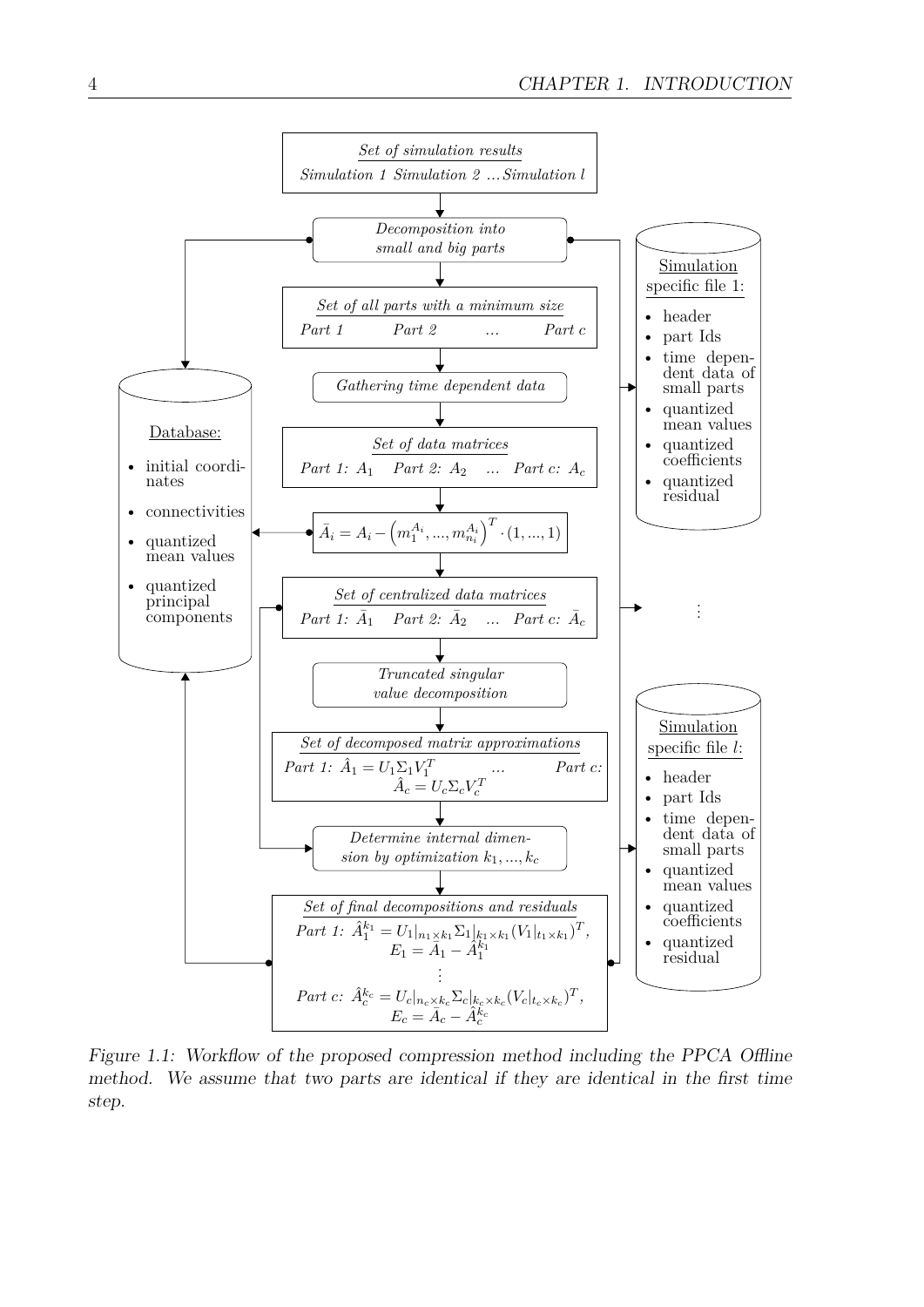<span id="page-4-0"></span>

Figure 1.1: Workflow of the proposed compression method including the PPCA Offline method. We assume that two parts are identical if they are identical in the first time step.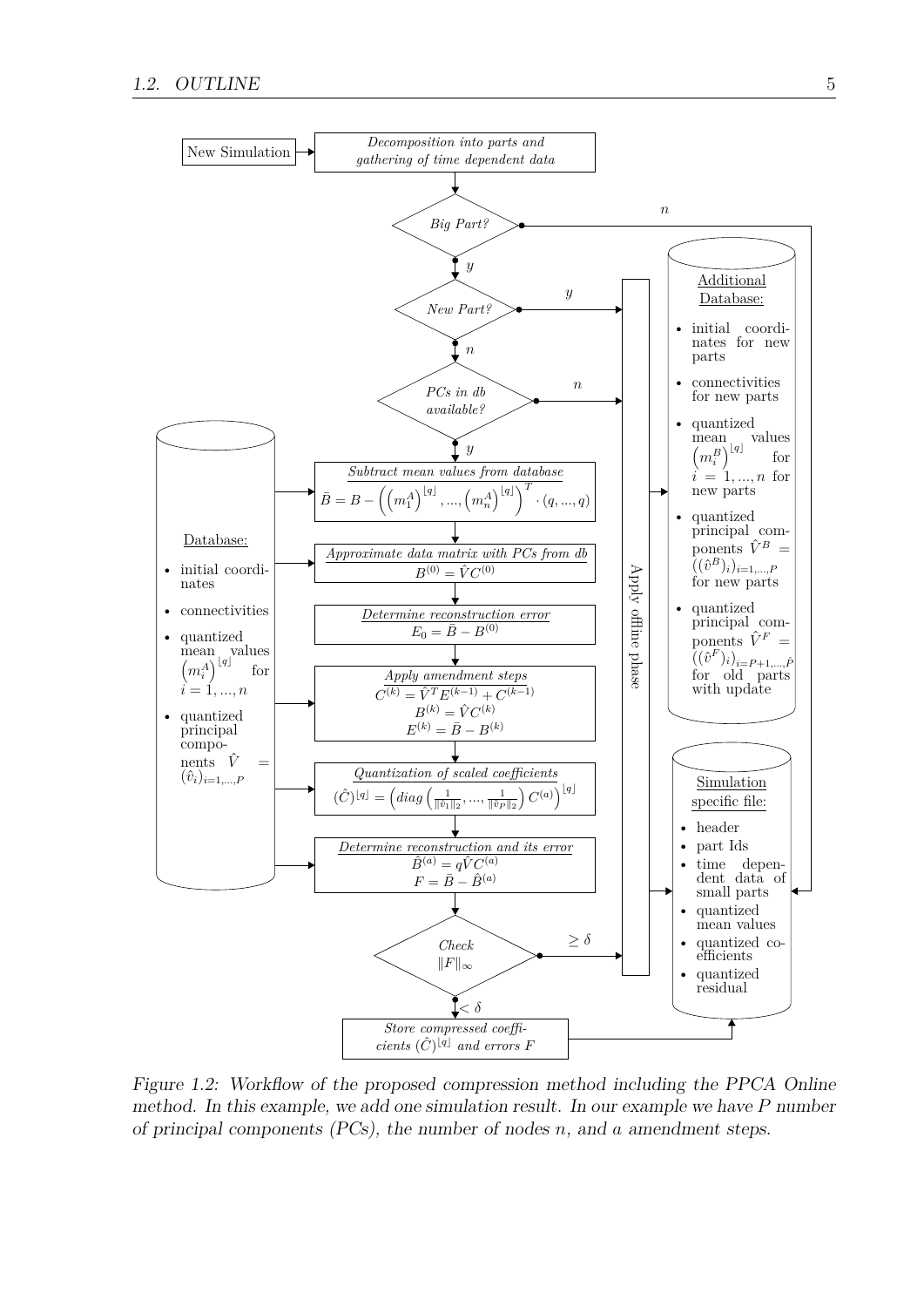<span id="page-5-0"></span>

Figure 1.2: Workflow of the proposed compression method including the PPCA Online method. In this example, we add one simulation result. In our example we have *P* number of principal components (PCs), the number of nodes *n*, and *a* amendment steps.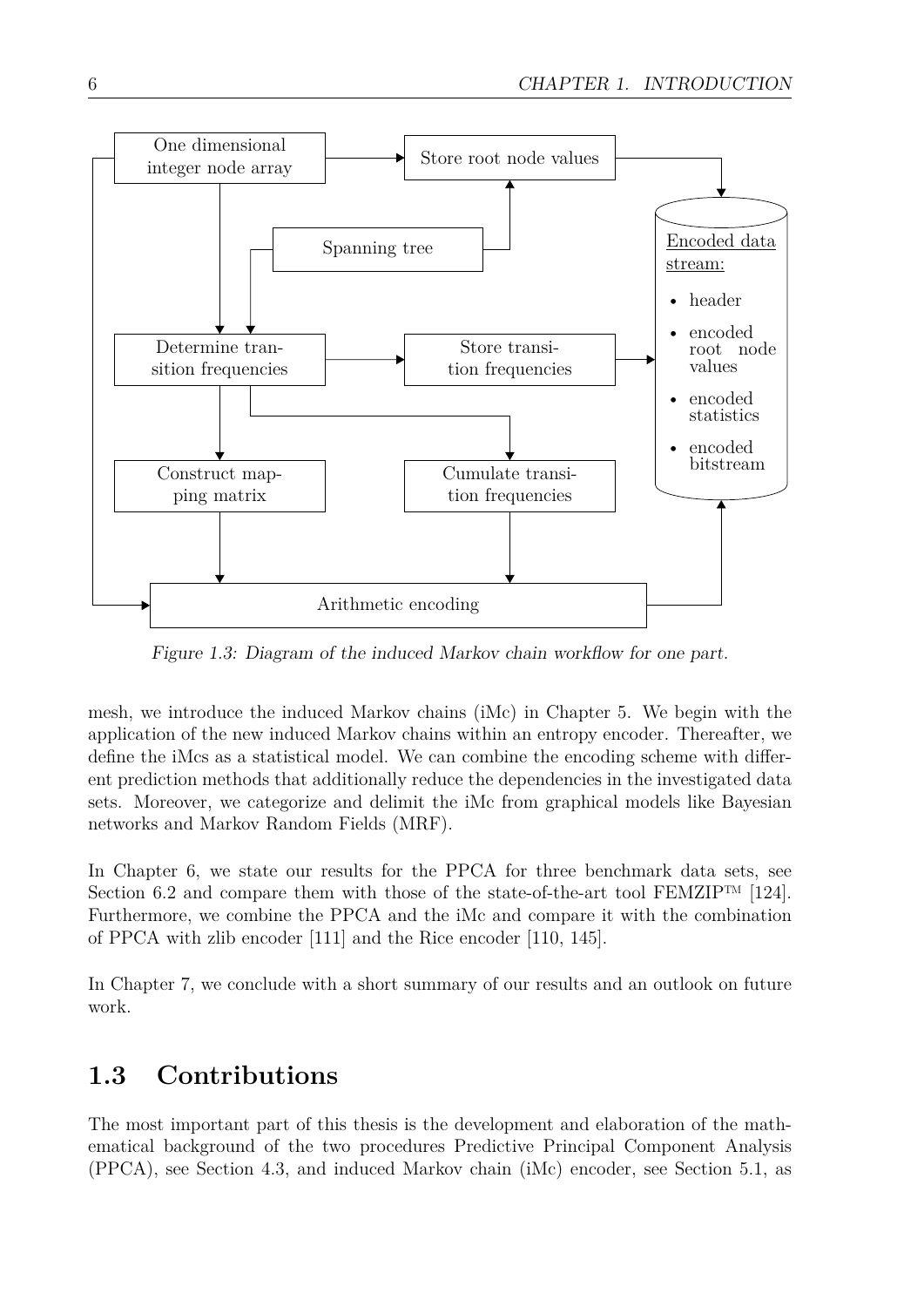<span id="page-6-0"></span>

Figure 1.3: Diagram of the induced Markov chain workflow for one part.

mesh, we introduce the induced Markov chains (iMc) in Chapter [5.](#page--1-6) We begin with the application of the new induced Markov chains within an entropy encoder. Thereafter, we define the iMcs as a statistical model. We can combine the encoding scheme with different prediction methods that additionally reduce the dependencies in the investigated data sets. Moreover, we categorize and delimit the iMc from graphical models like Bayesian networks and Markov Random Fields (MRF).

In Chapter [6,](#page--1-6) we state our results for the PPCA for three benchmark data sets, see Section [6.2](#page--1-7) and compare them with those of the state-of-the-art tool FEMZIP<sup>™</sup> [\[124\]](#page--1-8). Furthermore, we combine the PPCA and the iMc and compare it with the combination of PPCA with zlib encoder [\[111\]](#page--1-3) and the Rice encoder [\[110,](#page--1-2) [145\]](#page--1-9).

In Chapter [7,](#page--1-6) we conclude with a short summary of our results and an outlook on future work.

#### **1.3 Contributions**

The most important part of this thesis is the development and elaboration of the mathematical background of the two procedures Predictive Principal Component Analysis (PPCA), see Section [4.3,](#page--1-10) and induced Markov chain (iMc) encoder, see Section [5.1,](#page--1-11) as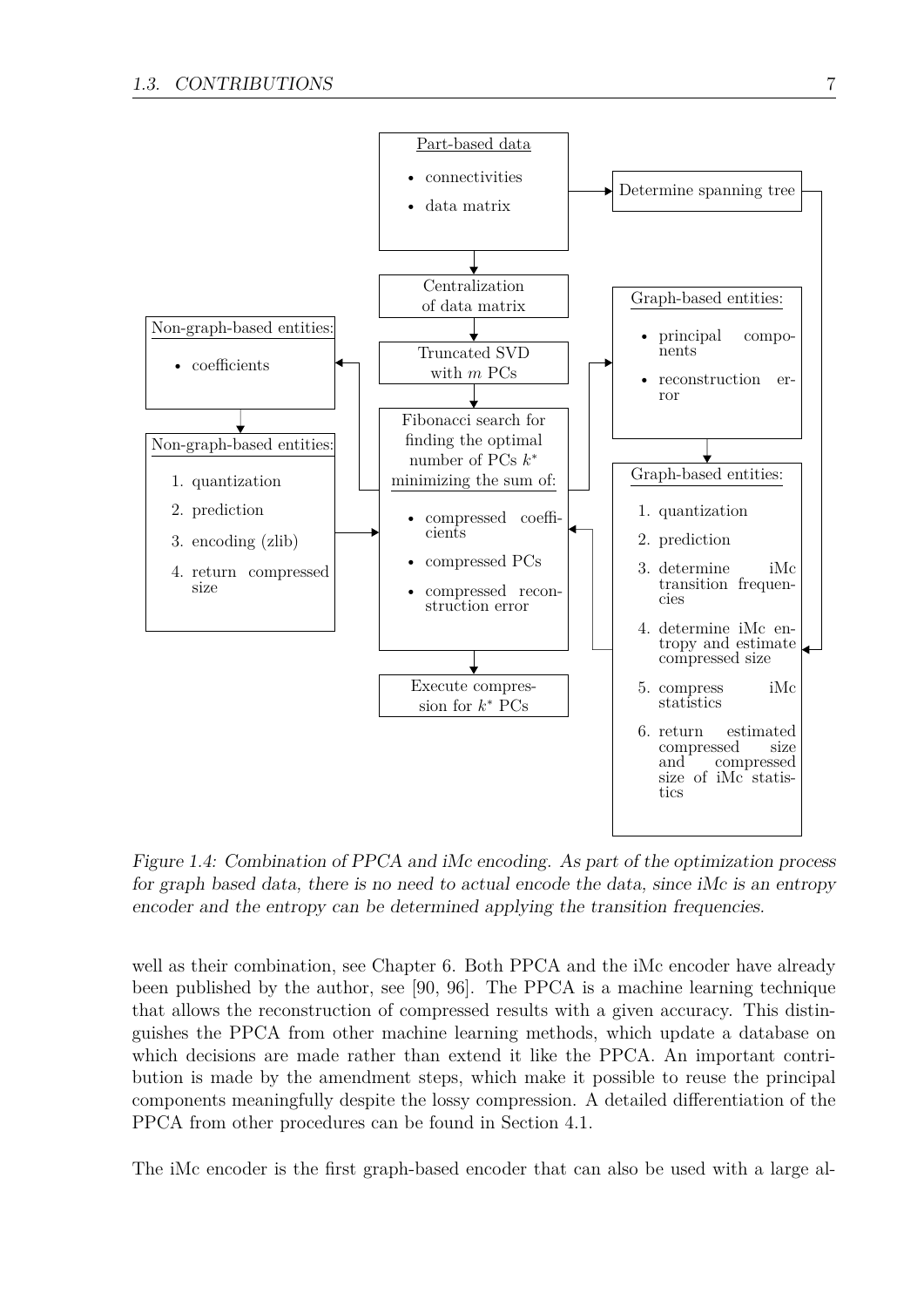<span id="page-7-0"></span>

Figure 1.4: Combination of PPCA and iMc encoding. As part of the optimization process for graph based data, there is no need to actual encode the data, since iMc is an entropy encoder and the entropy can be determined applying the transition frequencies.

well as their combination, see Chapter [6.](#page--1-6) Both PPCA and the iMc encoder have already been published by the author, see [\[90,](#page--1-12) [96\]](#page--1-13). The PPCA is a machine learning technique that allows the reconstruction of compressed results with a given accuracy. This distinguishes the PPCA from other machine learning methods, which update a database on which decisions are made rather than extend it like the PPCA. An important contribution is made by the amendment steps, which make it possible to reuse the principal components meaningfully despite the lossy compression. A detailed differentiation of the PPCA from other procedures can be found in Section 4.1.

The iMc encoder is the first graph-based encoder that can also be used with a large al-